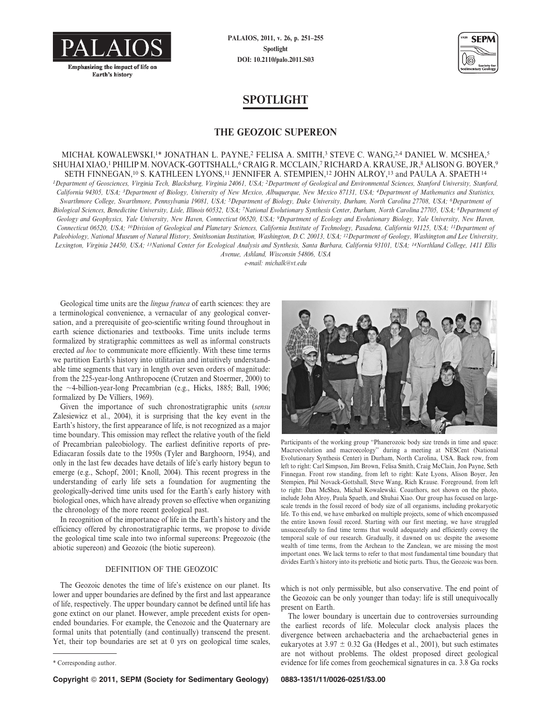

# SPOTLIGHT

# THE GEOZOIC SUPEREON

MICHAŁ KOWALEWSKI,<sup>1\*</sup> JONATHAN L. PAYNE,<sup>2</sup> FELISA A. SMITH,<sup>3</sup> STEVE C. WANG,<sup>2,4</sup> DANIEL W. MCSHEA,<sup>5</sup> SHUHAI XIAO,<sup>1</sup> PHILIP M. NOVACK-GOTTSHALL,<sup>6</sup> CRAIG R. MCCLAIN,7 RICHARD A. KRAUSE, JR,<sup>8</sup> ALISON G. BOYER,<sup>9</sup> SETH FINNEGAN,<sup>10</sup> S. KATHLEEN LYONS,<sup>11</sup> JENNIFER A. STEMPIEN,<sup>12</sup> JOHN ALROY,<sup>13</sup> and PAULA A. SPAETH<sup>14</sup> <sup>1</sup>Department of Geosciences, Virginia Tech, Blacksburg, Virginia 24061, USA; <sup>2</sup>Department of Geological and Environmental Sciences, Stanford University, Stanford, California 94305, USA; 3Department of Biology, University of New Mexico, Albuquerque, New Mexico 87131, USA; 4Department of Mathematics and Statistics, Swarthmore College, Swarthmore, Pennsylvania 19081, USA; <sup>5</sup>Department of Biology, Duke University, Durham, North Carolina 27708, USA; <sup>6</sup>Department of Biological Sciences, Benedictine University, Lisle, Illinois 60532, USA; 7National Evolutionary Synthesis Center, Durham, North Carolina 27705, USA; <sup>8</sup>Department of Geology and Geophysics, Yale University, New Haven, Connecticut 06520, USA; <sup>9</sup>Department of Ecology and Evolutionary Biology, Yale University, New Haven, Connecticut 06520, USA; <sup>10</sup>Division of Geological and Planetary Sciences, California Institute of Technology, Pasadena, California 91125, USA; <sup>11</sup>Department of Paleobiology, National Museum of Natural History, Smithsonian Institution, Washington, D.C. 20013, USA; <sup>12</sup>Department of Geology, Washington and Lee University,

Lexington, Virginia 24450, USA; <sup>13</sup>National Center for Ecological Analysis and Synthesis, Santa Barbara, California 93101, USA; <sup>14</sup>Northland College, 1411 Ellis Avenue, Ashland, Wisconsin 54806, USA

e-mail: michalk@vt.edu

Geological time units are the lingua franca of earth sciences: they are a terminological convenience, a vernacular of any geological conversation, and a prerequisite of geo-scientific writing found throughout in earth science dictionaries and textbooks. Time units include terms formalized by stratigraphic committees as well as informal constructs erected *ad hoc* to communicate more efficiently. With these time terms we partition Earth's history into utilitarian and intuitively understandable time segments that vary in length over seven orders of magnitude: from the 225-year-long Anthropocene (Crutzen and Stoermer, 2000) to the ~4-billion-year-long Precambrian (e.g., Hicks, 1885; Ball, 1906; formalized by De Villiers, 1969).

Given the importance of such chronostratigraphic units (sensu Zalesiewicz et al., 2004), it is surprising that the key event in the Earth's history, the first appearance of life, is not recognized as a major time boundary. This omission may reflect the relative youth of the field of Precambrian paleobiology. The earliest definitive reports of pre-Ediacaran fossils date to the 1950s (Tyler and Barghoorn, 1954), and only in the last few decades have details of life's early history begun to emerge (e.g., Schopf, 2001; Knoll, 2004). This recent progress in the understanding of early life sets a foundation for augmenting the geologically-derived time units used for the Earth's early history with biological ones, which have already proven so effective when organizing the chronology of the more recent geological past.

In recognition of the importance of life in the Earth's history and the efficiency offered by chronostratigraphic terms, we propose to divide the geological time scale into two informal supereons: Pregeozoic (the abiotic supereon) and Geozoic (the biotic supereon).

## DEFINITION OF THE GEOZOIC

The Geozoic denotes the time of life's existence on our planet. Its lower and upper boundaries are defined by the first and last appearance of life, respectively. The upper boundary cannot be defined until life has gone extinct on our planet. However, ample precedent exists for openended boundaries. For example, the Cenozoic and the Quaternary are formal units that potentially (and continually) transcend the present. Yet, their top boundaries are set at 0 yrs on geological time scales,



Participants of the working group ''Phanerozoic body size trends in time and space: Macroevolution and macroecology'' during a meeting at NESCent (National Evolutionary Synthesis Center) in Durham, North Carolina, USA. Back row, from left to right: Carl Simpson, Jim Brown, Felisa Smith, Craig McClain, Jon Payne, Seth Finnegan. Front row standing, from left to right: Kate Lyons, Alison Boyer, Jen Stempien, Phil Novack-Gottshall, Steve Wang, Rich Krause. Foreground, from left to right: Dan McShea, Michał Kowalewski. Coauthors, not shown on the photo, include John Alroy, Paula Spaeth, and Shuhai Xiao. Our group has focused on largescale trends in the fossil record of body size of all organisms, including prokaryotic life. To this end, we have embarked on multiple projects, some of which encompassed the entire known fossil record. Starting with our first meeting, we have struggled unsuccessfully to find time terms that would adequately and efficiently convey the temporal scale of our research. Gradually, it dawned on us: despite the awesome wealth of time terms, from the Archean to the Zanclean, we are missing the most important ones. We lack terms to refer to that most fundamental time boundary that divides Earth's history into its prebiotic and biotic parts. Thus, the Geozoic was born.

which is not only permissible, but also conservative. The end point of the Geozoic can be only younger than today: life is still unequivocally present on Earth.

The lower boundary is uncertain due to controversies surrounding the earliest records of life. Molecular clock analysis places the divergence between archaebacteria and the archaebacterial genes in eukaryotes at  $3.97 \pm 0.32$  Ga (Hedges et al., 2001), but such estimates are not without problems. The oldest proposed direct geological \* Corresponding author. evidence for life comes from geochemical signatures in ca. 3.8 Ga rocks

Copyright G 2011, SEPM (Society for Sedimentary Geology) 0883-1351/11/0026-0251/\$3.00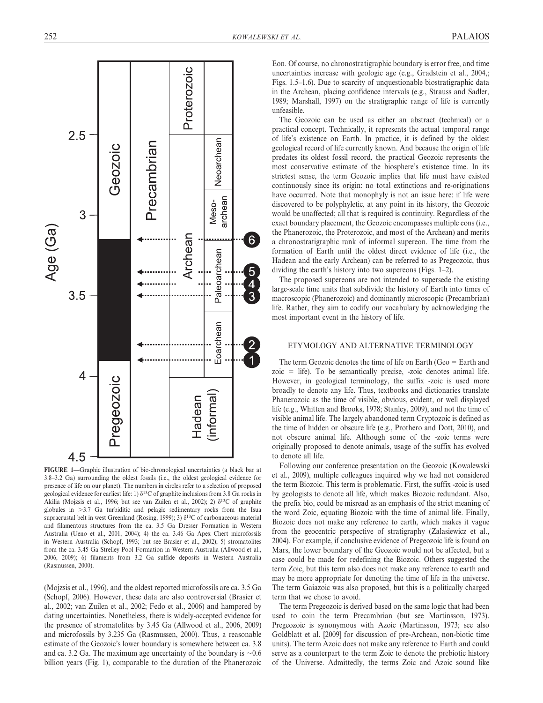

FIGURE 1—Graphic illustration of bio-chronological uncertainties (a black bar at 3.8–3.2 Ga) surrounding the oldest fossils (i.e., the oldest geological evidence for presence of life on our planet). The numbers in circles refer to a selection of proposed geological evidence for earliest life: 1)  $\delta^{13}$ C of graphite inclusions from 3.8 Ga rocks in Akilia (Mojzsis et al., 1996; but see van Zuilen et al., 2002); 2)  $\delta^{13}C$  of graphite globules in  $>3.7$  Ga turbiditic and pelagic sedimentary rocks from the Isua supracrustal belt in west Greenland (Rosing, 1999); 3)  $\delta^{13}$ C of carbonaceous material and filamentous structures from the ca. 3.5 Ga Dresser Formation in Western Australia (Ueno et al., 2001, 2004); 4) the ca. 3.46 Ga Apex Chert microfossils in Western Australia (Schopf, 1993; but see Brasier et al., 2002); 5) stromatolites from the ca. 3.45 Ga Strelley Pool Formation in Western Australia (Allwood et al., 2006, 2009); 6) filaments from 3.2 Ga sulfide deposits in Western Australia (Rasmussen, 2000).

(Mojzsis et al., 1996), and the oldest reported microfossils are ca. 3.5 Ga (Schopf, 2006). However, these data are also controversial (Brasier et al., 2002; van Zuilen et al., 2002; Fedo et al., 2006) and hampered by dating uncertainties. Nonetheless, there is widely-accepted evidence for the presence of stromatolites by 3.45 Ga (Allwood et al., 2006, 2009) and microfossils by 3.235 Ga (Rasmussen, 2000). Thus, a reasonable estimate of the Geozoic's lower boundary is somewhere between ca. 3.8 and ca. 3.2 Ga. The maximum age uncertainty of the boundary is  $\sim 0.6$ billion years (Fig. 1), comparable to the duration of the Phanerozoic Eon. Of course, no chronostratigraphic boundary is error free, and time uncertainties increase with geologic age (e.g., Gradstein et al., 2004,; Figs. 1.5–1.6). Due to scarcity of unquestionable biostratigraphic data in the Archean, placing confidence intervals (e.g., Strauss and Sadler, 1989; Marshall, 1997) on the stratigraphic range of life is currently unfeasible.

The Geozoic can be used as either an abstract (technical) or a practical concept. Technically, it represents the actual temporal range of life's existence on Earth. In practice, it is defined by the oldest geological record of life currently known. And because the origin of life predates its oldest fossil record, the practical Geozoic represents the most conservative estimate of the biosphere's existence time. In its strictest sense, the term Geozoic implies that life must have existed continuously since its origin: no total extinctions and re-originations have occurred. Note that monophyly is not an issue here: if life were discovered to be polyphyletic, at any point in its history, the Geozoic would be unaffected; all that is required is continuity. Regardless of the exact boundary placement, the Geozoic encompasses multiple eons (i.e., the Phanerozoic, the Proterozoic, and most of the Archean) and merits a chronostratigraphic rank of informal supereon. The time from the formation of Earth until the oldest direct evidence of life (i.e., the Hadean and the early Archean) can be referred to as Pregeozoic, thus dividing the earth's history into two supereons (Figs. 1–2).

The proposed supereons are not intended to supersede the existing large-scale time units that subdivide the history of Earth into times of macroscopic (Phanerozoic) and dominantly microscopic (Precambrian) life. Rather, they aim to codify our vocabulary by acknowledging the most important event in the history of life.

# ETYMOLOGY AND ALTERNATIVE TERMINOLOGY

The term Geozoic denotes the time of life on Earth (Geo  $=$  Earth and  $zoic =$  life). To be semantically precise, -zoic denotes animal life. However, in geological terminology, the suffix -zoic is used more broadly to denote any life. Thus, textbooks and dictionaries translate Phanerozoic as the time of visible, obvious, evident, or well displayed life (e.g., Whitten and Brooks, 1978; Stanley, 2009), and not the time of visible animal life. The largely abandoned term Cryptozoic is defined as the time of hidden or obscure life (e.g., Prothero and Dott, 2010), and not obscure animal life. Although some of the -zoic terms were originally proposed to denote animals, usage of the suffix has evolved to denote all life.

Following our conference presentation on the Geozoic (Kowalewski et al., 2009), multiple colleagues inquired why we had not considered the term Biozoic. This term is problematic. First, the suffix -zoic is used by geologists to denote all life, which makes Biozoic redundant. Also, the prefix bio, could be misread as an emphasis of the strict meaning of the word Zoic, equating Biozoic with the time of animal life. Finally, Biozoic does not make any reference to earth, which makes it vague from the geocentric perspective of stratigraphy (Zalasiewicz et al., 2004). For example, if conclusive evidence of Pregeozoic life is found on Mars, the lower boundary of the Geozoic would not be affected, but a case could be made for redefining the Biozoic. Others suggested the term Zoic, but this term also does not make any reference to earth and may be more appropriate for denoting the time of life in the universe. The term Gaiazoic was also proposed, but this is a politically charged term that we chose to avoid.

The term Pregeozoic is derived based on the same logic that had been used to coin the term Precambrian (but see Martinsson, 1973). Pregeozoic is synonymous with Azoic (Martinsson, 1973; see also Goldblatt et al. [2009] for discussion of pre-Archean, non-biotic time units). The term Azoic does not make any reference to Earth and could serve as a counterpart to the term Zoic to denote the prebiotic history of the Universe. Admittedly, the terms Zoic and Azoic sound like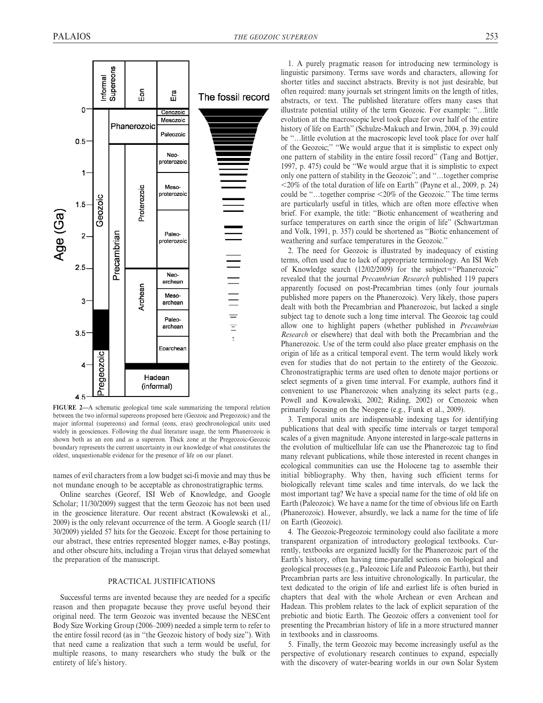

FIGURE 2—A schematic geological time scale summarizing the temporal relation between the two informal supereons proposed here (Geozoic and Pregeozoic) and the major informal (supereons) and formal (eons, eras) geochronological units used widely in geosciences. Following the dual literature usage, the term Phanerozoic is shown both as an eon and as a supereon. Thick zone at the Pregeozoic-Geozoic boundary represents the current uncertainty in our knowledge of what constitutes the oldest, unquestionable evidence for the presence of life on our planet.

names of evil characters from a low budget sci-fi movie and may thus be not mundane enough to be acceptable as chronostratigraphic terms.

Online searches (Georef, ISI Web of Knowledge, and Google Scholar; 11/30/2009) suggest that the term Geozoic has not been used in the geoscience literature. Our recent abstract (Kowalewski et al., 2009) is the only relevant occurrence of the term. A Google search (11/ 30/2009) yielded 57 hits for the Geozoic. Except for those pertaining to our abstract, these entries represented blogger names, e-Bay postings, and other obscure hits, including a Trojan virus that delayed somewhat the preparation of the manuscript.

# PRACTICAL JUSTIFICATIONS

Successful terms are invented because they are needed for a specific reason and then propagate because they prove useful beyond their original need. The term Geozoic was invented because the NESCent Body Size Working Group (2006–2009) needed a simple term to refer to the entire fossil record (as in ''the Geozoic history of body size''). With that need came a realization that such a term would be useful, for multiple reasons, to many researchers who study the bulk or the entirety of life's history.

1. A purely pragmatic reason for introducing new terminology is linguistic parsimony. Terms save words and characters, allowing for shorter titles and succinct abstracts. Brevity is not just desirable, but often required: many journals set stringent limits on the length of titles, abstracts, or text. The published literature offers many cases that illustrate potential utility of the term Geozoic. For example: ''…little evolution at the macroscopic level took place for over half of the entire history of life on Earth'' (Schulze-Makuch and Irwin, 2004, p. 39) could be ''…little evolution at the macroscopic level took place for over half of the Geozoic;'' ''We would argue that it is simplistic to expect only one pattern of stability in the entire fossil record'' (Tang and Bottjer, 1997, p. 475) could be ''We would argue that it is simplistic to expect only one pattern of stability in the Geozoic''; and ''…together comprise  $\langle 20\%$  of the total duration of life on Earth" (Payne et al., 2009, p. 24) could be "...together comprise  $\leq 20\%$  of the Geozoic." The time terms are particularly useful in titles, which are often more effective when brief. For example, the title: ''Biotic enhancement of weathering and surface temperatures on earth since the origin of life'' (Schwartzman and Volk, 1991, p. 357) could be shortened as ''Biotic enhancement of weathering and surface temperatures in the Geozoic.''

2. The need for Geozoic is illustrated by inadequacy of existing terms, often used due to lack of appropriate terminology. An ISI Web of Knowledge search (12/02/2009) for the subject="Phanerozoic" revealed that the journal Precambrian Research published 119 papers apparently focused on post-Precambrian times (only four journals published more papers on the Phanerozoic). Very likely, those papers dealt with both the Precambrian and Phanerozoic, but lacked a single subject tag to denote such a long time interval. The Geozoic tag could allow one to highlight papers (whether published in Precambrian Research or elsewhere) that deal with both the Precambrian and the Phanerozoic. Use of the term could also place greater emphasis on the origin of life as a critical temporal event. The term would likely work even for studies that do not pertain to the entirety of the Geozoic. Chronostratigraphic terms are used often to denote major portions or select segments of a given time interval. For example, authors find it convenient to use Phanerozoic when analyzing its select parts (e.g., Powell and Kowalewski, 2002; Riding, 2002) or Cenozoic when primarily focusing on the Neogene (e.g., Funk et al., 2009).

3. Temporal units are indispensable indexing tags for identifying publications that deal with specific time intervals or target temporal scales of a given magnitude. Anyone interested in large-scale patterns in the evolution of multicellular life can use the Phanerozoic tag to find many relevant publications, while those interested in recent changes in ecological communities can use the Holocene tag to assemble their initial bibliography. Why then, having such efficient terms for biologically relevant time scales and time intervals, do we lack the most important tag? We have a special name for the time of old life on Earth (Paleozoic). We have a name for the time of obvious life on Earth (Phanerozoic). However, absurdly, we lack a name for the time of life on Earth (Geozoic).

4. The Geozoic-Pregeozoic terminology could also facilitate a more transparent organization of introductory geological textbooks. Currently, textbooks are organized lucidly for the Phanerozoic part of the Earth's history, often having time-parallel sections on biological and geological processes (e.g., Paleozoic Life and Paleozoic Earth), but their Precambrian parts are less intuitive chronologically. In particular, the text dedicated to the origin of life and earliest life is often buried in chapters that deal with the whole Archean or even Archean and Hadean. This problem relates to the lack of explicit separation of the prebiotic and biotic Earth. The Geozoic offers a convenient tool for presenting the Precambrian history of life in a more structured manner in textbooks and in classrooms.

5. Finally, the term Geozoic may become increasingly useful as the perspective of evolutionary research continues to expand, especially with the discovery of water-bearing worlds in our own Solar System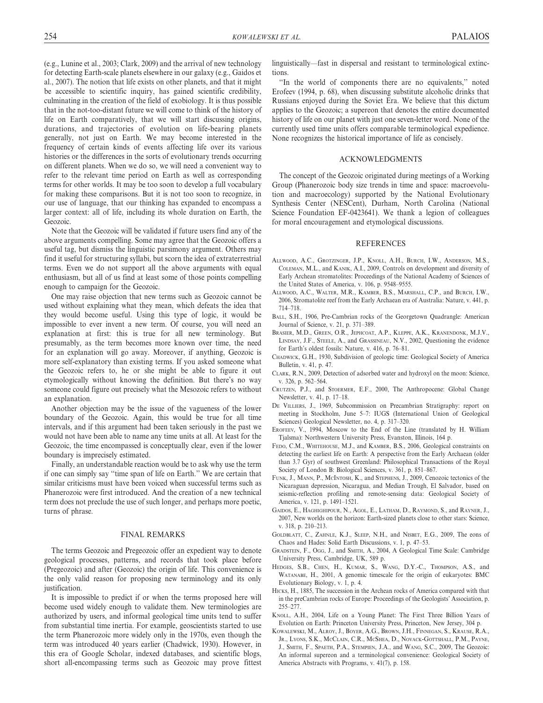(e.g., Lunine et al., 2003; Clark, 2009) and the arrival of new technology for detecting Earth-scale planets elsewhere in our galaxy (e.g., Gaidos et al., 2007). The notion that life exists on other planets, and that it might be accessible to scientific inquiry, has gained scientific credibility, culminating in the creation of the field of exobiology. It is thus possible that in the not-too-distant future we will come to think of the history of life on Earth comparatively, that we will start discussing origins, durations, and trajectories of evolution on life-bearing planets generally, not just on Earth. We may become interested in the frequency of certain kinds of events affecting life over its various histories or the differences in the sorts of evolutionary trends occurring on different planets. When we do so, we will need a convenient way to refer to the relevant time period on Earth as well as corresponding terms for other worlds. It may be too soon to develop a full vocabulary for making these comparisons. But it is not too soon to recognize, in our use of language, that our thinking has expanded to encompass a larger context: all of life, including its whole duration on Earth, the Geozoic.

Note that the Geozoic will be validated if future users find any of the above arguments compelling. Some may agree that the Geozoic offers a useful tag, but dismiss the linguistic parsimony argument. Others may find it useful for structuring syllabi, but scorn the idea of extraterrestrial terms. Even we do not support all the above arguments with equal enthusiasm, but all of us find at least some of those points compelling enough to campaign for the Geozoic.

One may raise objection that new terms such as Geozoic cannot be used without explaining what they mean, which defeats the idea that they would become useful. Using this type of logic, it would be impossible to ever invent a new term. Of course, you will need an explanation at first: this is true for all new terminology. But presumably, as the term becomes more known over time, the need for an explanation will go away. Moreover, if anything, Geozoic is more self-explanatory than existing terms. If you asked someone what the Geozoic refers to, he or she might be able to figure it out etymologically without knowing the definition. But there's no way someone could figure out precisely what the Mesozoic refers to without an explanation.

Another objection may be the issue of the vagueness of the lower boundary of the Geozoic. Again, this would be true for all time intervals, and if this argument had been taken seriously in the past we would not have been able to name any time units at all. At least for the Geozoic, the time encompassed is conceptually clear, even if the lower boundary is imprecisely estimated.

Finally, an understandable reaction would be to ask why use the term if one can simply say ''time span of life on Earth.'' We are certain that similar criticisms must have been voiced when successful terms such as Phanerozoic were first introduced. And the creation of a new technical term does not preclude the use of such longer, and perhaps more poetic, turns of phrase.

#### FINAL REMARKS

The terms Geozoic and Pregeozoic offer an expedient way to denote geological processes, patterns, and records that took place before (Pregeozoic) and after (Geozoic) the origin of life. This convenience is the only valid reason for proposing new terminology and its only justification.

It is impossible to predict if or when the terms proposed here will become used widely enough to validate them. New terminologies are authorized by users, and informal geological time units tend to suffer from substantial time inertia. For example, geoscientists started to use the term Phanerozoic more widely only in the 1970s, even though the term was introduced 40 years earlier (Chadwick, 1930). However, in this era of Google Scholar, indexed databases, and scientific blogs, short all-encompassing terms such as Geozoic may prove fittest linguistically—fast in dispersal and resistant to terminological extinctions.

''In the world of components there are no equivalents,'' noted Erofeev (1994, p. 68), when discussing substitute alcoholic drinks that Russians enjoyed during the Soviet Era. We believe that this dictum applies to the Geozoic; a supereon that denotes the entire documented history of life on our planet with just one seven-letter word. None of the currently used time units offers comparable terminological expedience. None recognizes the historical importance of life as concisely.

## ACKNOWLEDGMENTS

The concept of the Geozoic originated during meetings of a Working Group (Phanerozoic body size trends in time and space: macroevolution and macroecology) supported by the National Evolutionary Synthesis Center (NESCent), Durham, North Carolina (National Science Foundation EF-0423641). We thank a legion of colleagues for moral encouragement and etymological discussions.

### REFERENCES

- ALLWOOD, A.C., GROTZINGER, J.P., KNOLL, A.H., BURCH, I.W., ANDERSON, M.S., COLEMAN, M.L., and KANIK, A.I., 2009, Controls on development and diversity of Early Archean stromatolites: Proceedings of the National Academy of Sciences of the United States of America, v. 106, p. 9548–9555.
- ALLWOOD, A.C., WALTER, M.R., KAMBER, B.S., MARSHALL, C.P., and BURCH, I.W., 2006, Stromatolite reef from the Early Archaean era of Australia: Nature, v. 441, p. 714–718.
- BALL, S.H., 1906, Pre-Cambrian rocks of the Georgetown Quadrangle: American Journal of Science, v. 21, p. 371–389.
- BRASIER, M.D., GREEN, O.R., JEPHCOAT, A.P., KLEPPE, A.K., KRANENDONK, M.J.V., LINDSAY, J.F., STEELE, A., and GRASSINEAU, N.V., 2002, Questioning the evidence for Earth's oldest fossils: Nature, v. 416, p. 76–81.
- CHADWICK, G.H., 1930, Subdivision of geologic time: Geological Society of America Bulletin, v. 41, p. 47.
- CLARK, R.N., 2009, Detection of adsorbed water and hydroxyl on the moon: Science, v. 326, p. 562–564.
- CRUTZEN, P.J., and STOERMER, E.F., 2000, The Anthropocene: Global Change Newsletter, v. 41, p. 17–18.
- DE VILLIERS, J., 1969, Subcommission on Precambrian Stratigraphy: report on meeting in Stockholm, June 5–7: IUGS (International Union of Geological Sciences) Geological Newsletter, no. 4, p. 317–320.
- EROFEEV, V., 1994, Moscow to the End of the Line (translated by H. William Tjalsma): Northwestern University Press, Evanston, Illinois, 164 p.
- FEDO, C.M., WHITEHOUSE, M.J., and KAMBER, B.S., 2006, Geological constraints on detecting the earliest life on Earth: A perspective from the Early Archaean (older than 3.7 Gyr) of southwest Greenland: Philosophical Transactions of the Royal Society of London B: Biological Sciences, v. 361, p. 851–867.
- FUNK, J., MANN, P., MCINTOSH, K., and STEPHENS, J., 2009, Cenozoic tectonics of the Nicaraguan depression, Nicaragua, and Median Trough, El Salvador, based on seismic-reflection profiling and remote-sensing data: Geological Society of America, v. 121, p. 1491–1521.
- GAIDOS, E., HAGHIGHIPOUR, N., AGOL, E., LATHAM, D., RAYMOND, S., and RAYNER, J., 2007, New worlds on the horizon: Earth-sized planets close to other stars: Science, v. 318, p. 210–213.
- GOLDBLATT, C., ZAHNLE, K.J., SLEEP, N.H., and NISBET, E.G., 2009, The eons of Chaos and Hades: Solid Earth Discussions, v. 1, p. 47–53.
- GRADSTEIN, F., OGG, J., and SMITH, A., 2004, A Geological Time Scale: Cambridge University Press, Cambridge, UK, 589 p.
- HEDGES, S.B., CHEN, H., KUMAR, S., WANG, D.Y.-C., THOMPSON, A.S., and WATANABE, H., 2001, A genomic timescale for the origin of eukaryotes: BMC Evolutionary Biology, v. 1, p. 4.
- HICKS, H., 1885, The succession in the Archean rocks of America compared with that in the preCambrian rocks of Europe: Proceedings of the Geologists' Association, p. 255–277.
- KNOLL, A.H., 2004, Life on a Young Planet: The First Three Billion Years of Evolution on Earth: Princeton University Press, Princeton, New Jersey, 304 p.
- KOWALEWSKI, M., ALROY, J., BOYER, A.G., BROWN, J.H., FINNEGAN, S., KRAUSE, R.A., JR., LYONS, S.K., MCCLAIN, C.R., MCSHEA, D., NOVACK-GOTTSHALL, P.M., PAYNE, J., SMITH, F., SPAETH, P.A., STEMPIEN, J.A., and WANG, S.C., 2009, The Geozoic: An informal supereon and a terminological convenience: Geological Society of America Abstracts with Programs, v. 41(7), p. 158.